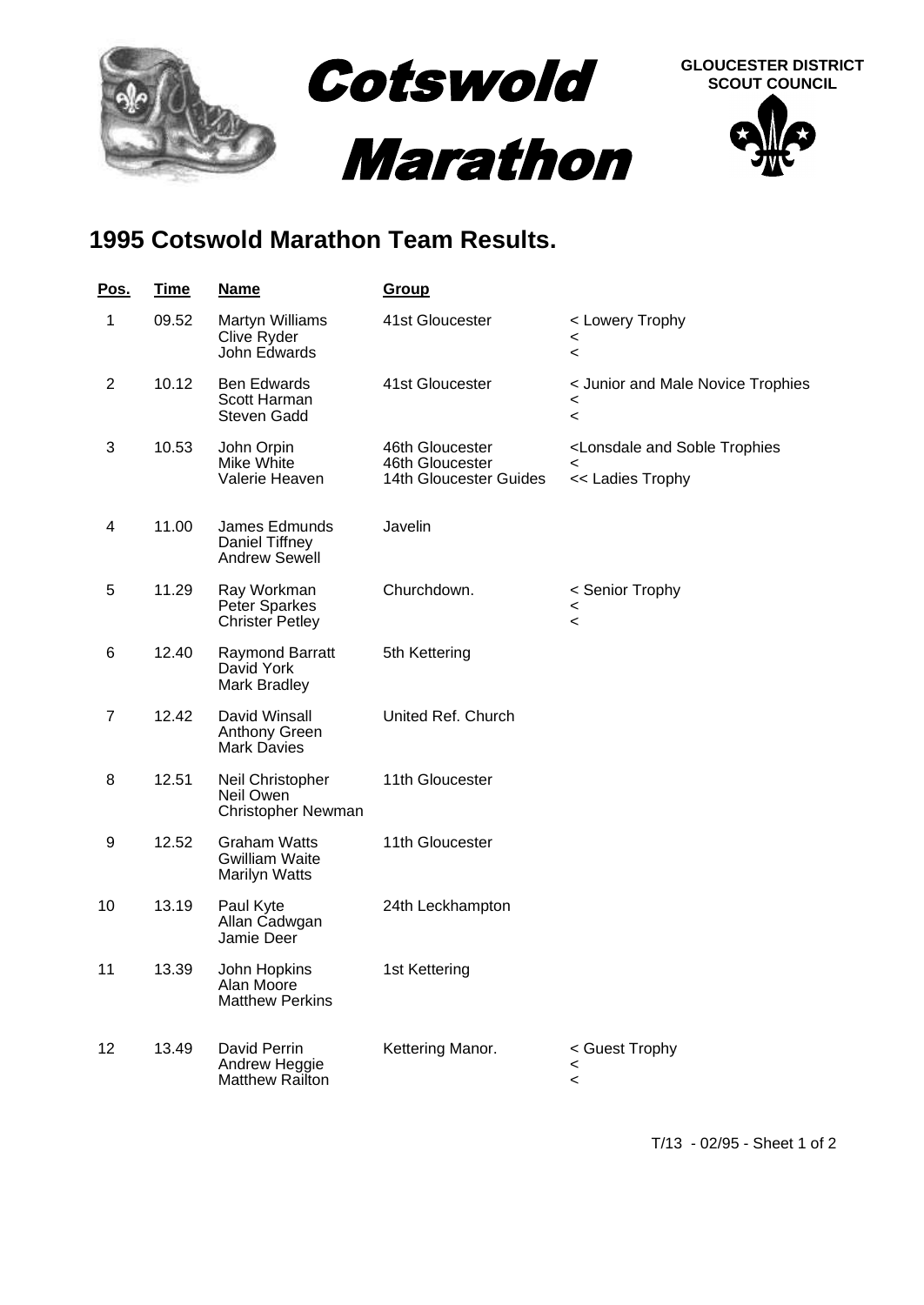

## **1995 Cotswold Marathon Team Results.**

| <u>Pos.</u>    | <b>Time</b> | <u>Name</u>                                                          | <u>Group</u>                                                 |                                                                                     |
|----------------|-------------|----------------------------------------------------------------------|--------------------------------------------------------------|-------------------------------------------------------------------------------------|
| 1              | 09.52       | Martyn Williams<br>Clive Ryder<br>John Edwards                       | 41st Gloucester                                              | < Lowery Trophy<br>$\,<\,$<br>$\,<\,$                                               |
| $\overline{2}$ | 10.12       | <b>Ben Edwards</b><br>Scott Harman<br>Steven Gadd                    | 41st Gloucester                                              | < Junior and Male Novice Trophies<br>$\,<\,$<br>$\,<\,$                             |
| 3              | 10.53       | John Orpin<br>Mike White<br>Valerie Heaven                           | 46th Gloucester<br>46th Gloucester<br>14th Gloucester Guides | <lonsdale and="" soble="" trophies<br="">&lt;<br/>&lt;&lt; Ladies Trophy</lonsdale> |
| 4              | 11.00       | James Edmunds<br>Daniel Tiffney<br><b>Andrew Sewell</b>              | Javelin                                                      |                                                                                     |
| 5              | 11.29       | Ray Workman<br>Peter Sparkes<br><b>Christer Petley</b>               | Churchdown.                                                  | < Senior Trophy<br>$\,<\,$<br>$\,<$                                                 |
| 6              | 12.40       | Raymond Barratt<br>David York<br>Mark Bradley                        | 5th Kettering                                                |                                                                                     |
| 7              | 12.42       | David Winsall<br>Anthony Green<br><b>Mark Davies</b>                 | United Ref. Church                                           |                                                                                     |
| 8              | 12.51       | Neil Christopher<br>Neil Owen<br>Christopher Newman                  | 11th Gloucester                                              |                                                                                     |
| 9              | 12.52       | <b>Graham Watts</b><br><b>Gwilliam Waite</b><br><b>Marilyn Watts</b> | 11th Gloucester                                              |                                                                                     |
| 10             | 13.19       | Paul Kyte<br>Allan Cadwgan<br>Jamie Deer                             | 24th Leckhampton                                             |                                                                                     |
| 11             | 13.39       | John Hopkins<br>Alan Moore<br><b>Matthew Perkins</b>                 | 1st Kettering                                                |                                                                                     |
| 12             | 13.49       | David Perrin<br>Andrew Heggie<br>Matthew Railton                     | Kettering Manor.                                             | < Guest Trophy<br><<br>$\,<\,$                                                      |

T/13 - 02/95 - Sheet 1 of 2